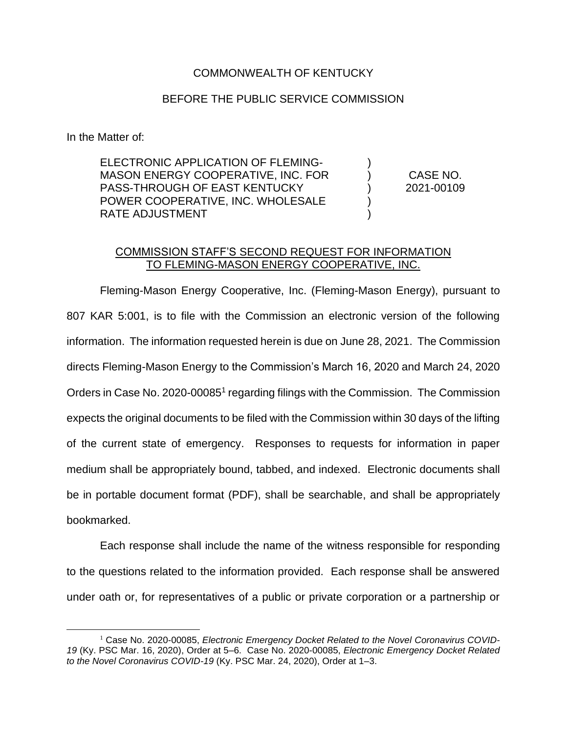## COMMONWEALTH OF KENTUCKY

## BEFORE THE PUBLIC SERVICE COMMISSION

In the Matter of:

ELECTRONIC APPLICATION OF FLEMING-MASON ENERGY COOPERATIVE, INC. FOR PASS-THROUGH OF EAST KENTUCKY POWER COOPERATIVE, INC. WHOLESALE RATE ADJUSTMENT

CASE NO. 2021-00109

) ) ) ) )

## COMMISSION STAFF'S SECOND REQUEST FOR INFORMATION TO FLEMING-MASON ENERGY COOPERATIVE, INC.

Fleming-Mason Energy Cooperative, Inc. (Fleming-Mason Energy), pursuant to 807 KAR 5:001, is to file with the Commission an electronic version of the following information. The information requested herein is due on June 28, 2021. The Commission directs Fleming-Mason Energy to the Commission's March 16, 2020 and March 24, 2020 Orders in Case No. 2020-00085<sup>1</sup> regarding filings with the Commission. The Commission expects the original documents to be filed with the Commission within 30 days of the lifting of the current state of emergency. Responses to requests for information in paper medium shall be appropriately bound, tabbed, and indexed. Electronic documents shall be in portable document format (PDF), shall be searchable, and shall be appropriately bookmarked.

Each response shall include the name of the witness responsible for responding to the questions related to the information provided. Each response shall be answered under oath or, for representatives of a public or private corporation or a partnership or

<sup>&</sup>lt;sup>1</sup> Case No. 2020-00085, *Electronic Emergency Docket Related to the Novel Coronavirus COVID-19* (Ky. PSC Mar. 16, 2020), Order at 5–6. Case No. 2020-00085, *Electronic Emergency Docket Related to the Novel Coronavirus COVID-19* (Ky. PSC Mar. 24, 2020), Order at 1–3.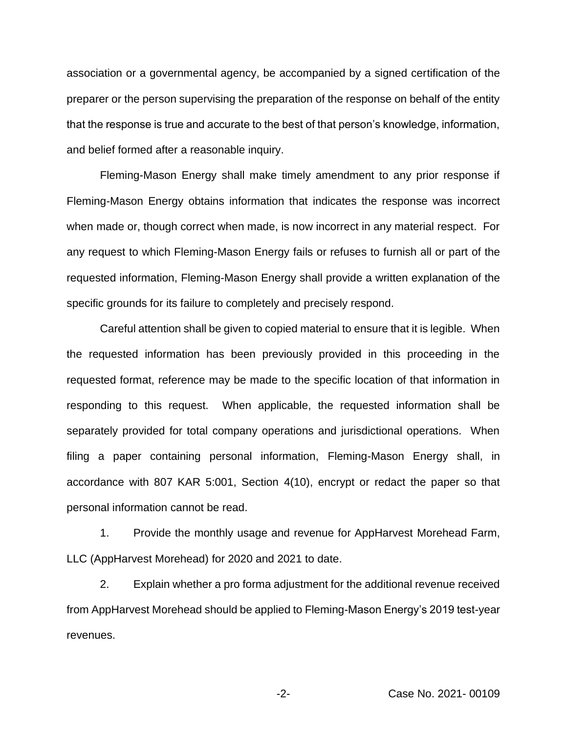association or a governmental agency, be accompanied by a signed certification of the preparer or the person supervising the preparation of the response on behalf of the entity that the response is true and accurate to the best of that person's knowledge, information, and belief formed after a reasonable inquiry.

Fleming-Mason Energy shall make timely amendment to any prior response if Fleming-Mason Energy obtains information that indicates the response was incorrect when made or, though correct when made, is now incorrect in any material respect. For any request to which Fleming-Mason Energy fails or refuses to furnish all or part of the requested information, Fleming-Mason Energy shall provide a written explanation of the specific grounds for its failure to completely and precisely respond.

Careful attention shall be given to copied material to ensure that it is legible. When the requested information has been previously provided in this proceeding in the requested format, reference may be made to the specific location of that information in responding to this request. When applicable, the requested information shall be separately provided for total company operations and jurisdictional operations. When filing a paper containing personal information, Fleming-Mason Energy shall, in accordance with 807 KAR 5:001, Section 4(10), encrypt or redact the paper so that personal information cannot be read.

1. Provide the monthly usage and revenue for AppHarvest Morehead Farm, LLC (AppHarvest Morehead) for 2020 and 2021 to date.

2. Explain whether a pro forma adjustment for the additional revenue received from AppHarvest Morehead should be applied to Fleming-Mason Energy's 2019 test-year revenues.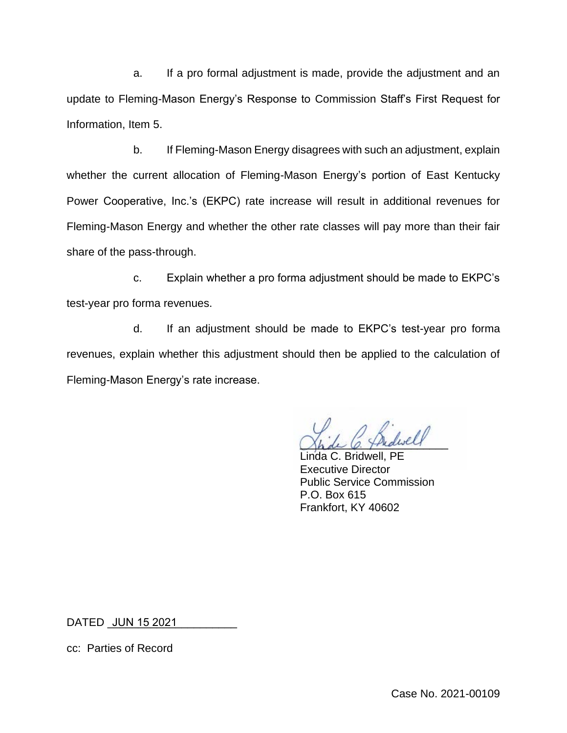a. If a pro formal adjustment is made, provide the adjustment and an update to Fleming-Mason Energy's Response to Commission Staff's First Request for Information, Item 5.

b. If Fleming-Mason Energy disagrees with such an adjustment, explain whether the current allocation of Fleming-Mason Energy's portion of East Kentucky Power Cooperative, Inc.'s (EKPC) rate increase will result in additional revenues for Fleming-Mason Energy and whether the other rate classes will pay more than their fair share of the pass-through.

c. Explain whether a pro forma adjustment should be made to EKPC's test-year pro forma revenues.

d. If an adjustment should be made to EKPC's test-year pro forma revenues, explain whether this adjustment should then be applied to the calculation of Fleming-Mason Energy's rate increase.

Shde C. Thedwell

Linda C. Bridwell, PE Executive Director Public Service Commission P.O. Box 615 Frankfort, KY 40602

DATED <u>\_JUN 15 2021 \_</u>\_\_\_\_\_\_\_\_\_\_\_

cc: Parties of Record